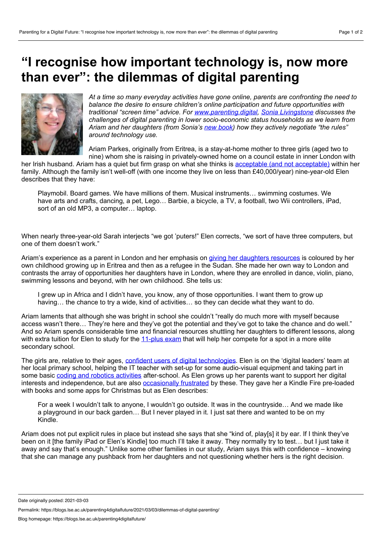## **"I recognise how important technology is, now more than ever": the dilemmas of digital parenting**



*At a time so many everyday activities have gone online, parents are confronting the need to balance the desire to ensure children's online participation and future opportunities with traditional "screen time" advice. For [www.parenting.digital](https://blogs.lse.ac.uk/parenting4digitalfuture/), Sonia [Livingstone](https://www.lse.ac.uk/media-and-communications/people/academic-staff/sonia-livingstone) discusses the challenges of digital parenting in lower socio-economic status households as we learn from Ariam and her daughters (from Sonia's new [book](https://global.oup.com/ushe/product/parenting-for-a-digital-future-9780190874704?cc=us&lang=en&)) how they actively negotiate "the rules" around technology use.*

Ariam Parkes, originally from Eritrea, is a stay-at-home mother to three girls (aged two to nine) whom she is raising in privately-owned home on a council estate in inner London with

her Irish husband. Ariam has a quiet but firm grasp on what she thinks is acceptable (and not [acceptable\)](https://blogs.lse.ac.uk/parenting4digitalfuture/2021/02/24/digital-choices-and-covid/) within her family. Although the family isn't well-off (with one income they live on less than £40,000/year) nine-year-old Elen describes that they have:

Playmobil. Board games. We have millions of them. Musical instruments… swimming costumes. We have arts and crafts, dancing, a pet, Lego... Barbie, a bicycle, a TV, a football, two Wii controllers, iPad, sort of an old MP3, a computer… laptop.

When nearly three-year-old Sarah interjects "we got 'puters!" Elen corrects, "we sort of have three computers, but one of them doesn't work."

Ariam's experience as a parent in London and her emphasis on giving her [daughters](https://blogs.lse.ac.uk/medialse/2019/12/10/new-global-kids-online-findings-show-that-internet-use-can-increase-childrens-opportunities-and-build-digital-skills/) resources is coloured by her own childhood growing up in Eritrea and then as a refugee in the Sudan. She made her own way to London and contrasts the array of opportunities her daughters have in London, where they are enrolled in dance, violin, piano, swimming lessons and beyond, with her own childhood. She tells us:

I grew up in Africa and I didn't have, you know, any of those opportunities. I want them to grow up having... the chance to try a wide, kind of activities... so they can decide what they want to do.

Ariam laments that although she was bright in school she couldn't "really do much more with myself because access wasn't there... They're here and they've got the potential and they've got to take the chance and do well." And so Ariam spends considerable time and financial resources shuttling her daughters to different lessons, along with extra tuition for Elen to study for the [11-plus](https://en.wikipedia.org/wiki/Eleven-plus) exam that will help her compete for a spot in a more elite secondary school.

The girls are, relative to their ages, confident users of digital [technologies](https://blogs.lse.ac.uk/parenting4digitalfuture/2021/02/03/inequalities-matter/). Elen is on the 'digital leaders' team at her local primary school, helping the IT teacher with set-up for some audio-visual equipment and taking part in some basic coding and robotics [activities](https://blogs.lse.ac.uk/parenting4digitalfuture/2020/11/11/coding-and-digital-divides/) after-school. As Elen grows up her parents want to support her digital interests and independence, but are also **[occasionally](https://blogs.lse.ac.uk/parenting4digitalfuture/2020/12/09/digital-parenting-contradictions/) frustrated** by these. They gave her a Kindle Fire pre-loaded with books and some apps for Christmas but as Elen describes:

For a week I wouldn't talk to anyone, I wouldn't go outside. It was in the countryside… And we made like a playground in our back garden… But I never played in it. I just sat there and wanted to be on my Kindle.

Ariam does not put explicit rules in place but instead she says that she "kind of, play[s] it by ear. If I think they've been on it [the family iPad or Elen's Kindle] too much I'll take it away. They normally try to test… but Ijust take it away and say that's enough." Unlike some other families in our study, Ariam says this with confidence – knowing that she can manage any pushback from her daughters and not questioning whether hers is the right decision.

Date originally posted: 2021-03-03

Permalink: https://blogs.lse.ac.uk/parenting4digitalfuture/2021/03/03/dilemmas-of-digital-parenting/